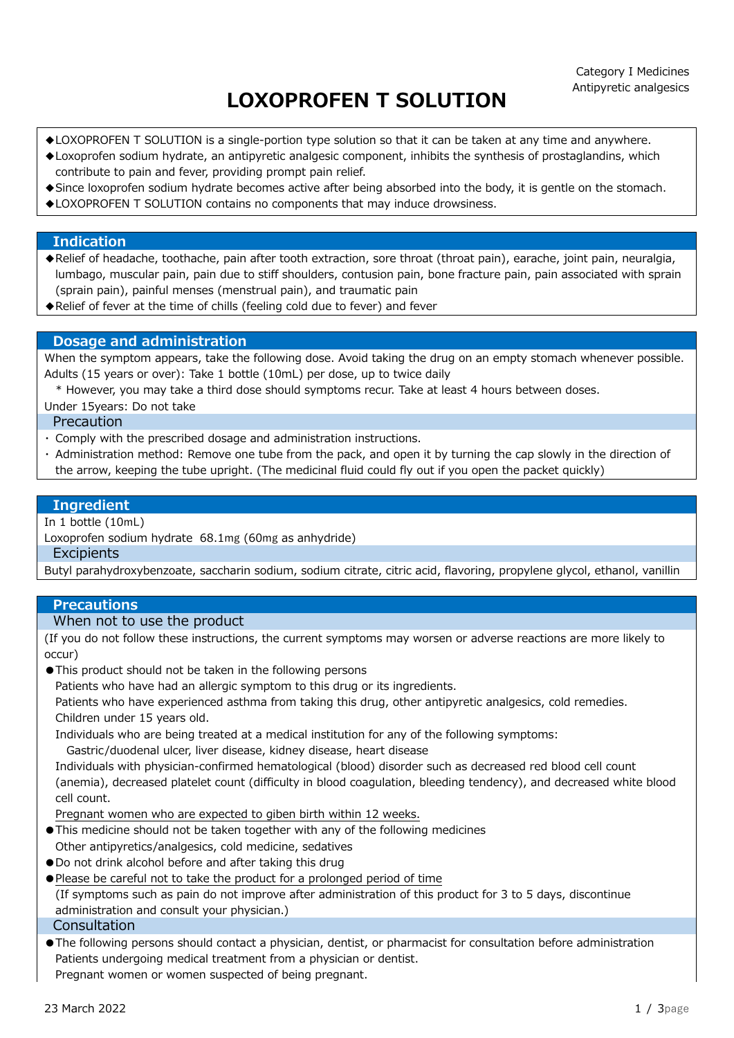# LOXOPROFEN T SOLUTION

- ◆LOXOPROFEN T SOLUTION is a single-portion type solution so that it can be taken at any time and anywhere.
- ◆Loxoprofen sodium hydrate, an antipyretic analgesic component, inhibits the synthesis of prostaglandins, which contribute to pain and fever, providing prompt pain relief.
- ◆Since loxoprofen sodium hydrate becomes active after being absorbed into the body, it is gentle on the stomach.
- ◆LOXOPROFEN T SOLUTION contains no components that may induce drowsiness.

# Indication

- ◆Relief of headache, toothache, pain after tooth extraction, sore throat (throat pain), earache, joint pain, neuralgia, lumbago, muscular pain, pain due to stiff shoulders, contusion pain, bone fracture pain, pain associated with sprain (sprain pain), painful menses (menstrual pain), and traumatic pain
- ◆Relief of fever at the time of chills (feeling cold due to fever) and fever

## Dosage and administration

When the symptom appears, take the following dose. Avoid taking the drug on an empty stomach whenever possible. Adults (15 years or over): Take 1 bottle (10mL) per dose, up to twice daily

\* However, you may take a third dose should symptoms recur. Take at least 4 hours between doses.

Under 15years: Do not take

Precaution

- ・ Comply with the prescribed dosage and administration instructions.
- ・ Administration method: Remove one tube from the pack, and open it by turning the cap slowly in the direction of the arrow, keeping the tube upright. (The medicinal fluid could fly out if you open the packet quickly)

#### Ingredient

In 1 bottle (10mL)

Loxoprofen sodium hydrate 68.1mg (60mg as anhydride)

#### **Excipients**

Butyl parahydroxybenzoate, saccharin sodium, sodium citrate, citric acid, flavoring, propylene glycol, ethanol, vanillin

## **Precautions**

# When not to use the product

(If you do not follow these instructions, the current symptoms may worsen or adverse reactions are more likely to occur)

●This product should not be taken in the following persons

Patients who have had an allergic symptom to this drug or its ingredients.

 Patients who have experienced asthma from taking this drug, other antipyretic analgesics, cold remedies. Children under 15 years old.

Individuals who are being treated at a medical institution for any of the following symptoms:

Gastric/duodenal ulcer, liver disease, kidney disease, heart disease

 Individuals with physician-confirmed hematological (blood) disorder such as decreased red blood cell count (anemia), decreased platelet count (difficulty in blood coagulation, bleeding tendency), and decreased white blood cell count.

Pregnant women who are expected to giben birth within 12 weeks.

- ●This medicine should not be taken together with any of the following medicines Other antipyretics/analgesics, cold medicine, sedatives
- ●Do not drink alcohol before and after taking this drug
- ●Please be careful not to take the product for a prolonged period of time (If symptoms such as pain do not improve after administration of this product for 3 to 5 days, discontinue administration and consult your physician.) **Consultation**
- ●The following persons should contact a physician, dentist, or pharmacist for consultation before administration Patients undergoing medical treatment from a physician or dentist. Pregnant women or women suspected of being pregnant.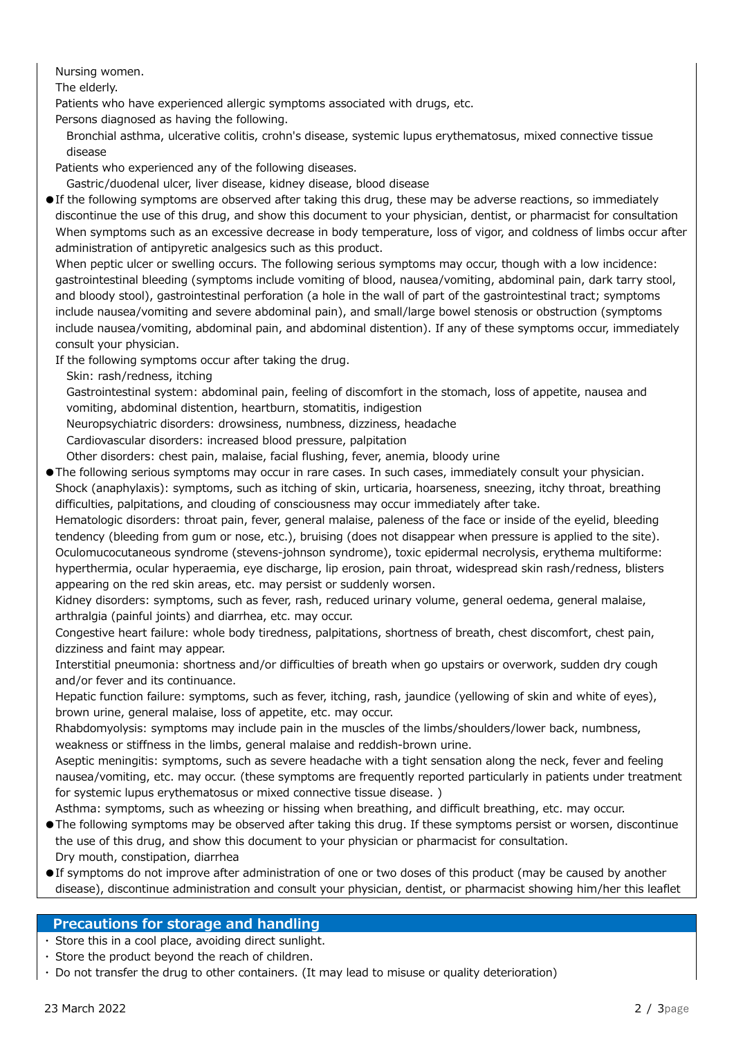Nursing women.

The elderly.

Patients who have experienced allergic symptoms associated with drugs, etc.

Persons diagnosed as having the following.

 Bronchial asthma, ulcerative colitis, crohn's disease, systemic lupus erythematosus, mixed connective tissue disease

Patients who experienced any of the following diseases.

Gastric/duodenal ulcer, liver disease, kidney disease, blood disease

●If the following symptoms are observed after taking this drug, these may be adverse reactions, so immediately discontinue the use of this drug, and show this document to your physician, dentist, or pharmacist for consultation When symptoms such as an excessive decrease in body temperature, loss of vigor, and coldness of limbs occur after administration of antipyretic analgesics such as this product.

 When peptic ulcer or swelling occurs. The following serious symptoms may occur, though with a low incidence: gastrointestinal bleeding (symptoms include vomiting of blood, nausea/vomiting, abdominal pain, dark tarry stool, and bloody stool), gastrointestinal perforation (a hole in the wall of part of the gastrointestinal tract; symptoms include nausea/vomiting and severe abdominal pain), and small/large bowel stenosis or obstruction (symptoms include nausea/vomiting, abdominal pain, and abdominal distention). If any of these symptoms occur, immediately consult your physician.

If the following symptoms occur after taking the drug.

Skin: rash/redness, itching

 Gastrointestinal system: abdominal pain, feeling of discomfort in the stomach, loss of appetite, nausea and vomiting, abdominal distention, heartburn, stomatitis, indigestion

Neuropsychiatric disorders: drowsiness, numbness, dizziness, headache

Cardiovascular disorders: increased blood pressure, palpitation

Other disorders: chest pain, malaise, facial flushing, fever, anemia, bloody urine

●The following serious symptoms may occur in rare cases. In such cases, immediately consult your physician. Shock (anaphylaxis): symptoms, such as itching of skin, urticaria, hoarseness, sneezing, itchy throat, breathing

difficulties, palpitations, and clouding of consciousness may occur immediately after take.

 Hematologic disorders: throat pain, fever, general malaise, paleness of the face or inside of the eyelid, bleeding tendency (bleeding from gum or nose, etc.), bruising (does not disappear when pressure is applied to the site). Oculomucocutaneous syndrome (stevens-johnson syndrome), toxic epidermal necrolysis, erythema multiforme: hyperthermia, ocular hyperaemia, eye discharge, lip erosion, pain throat, widespread skin rash/redness, blisters appearing on the red skin areas, etc. may persist or suddenly worsen.

 Kidney disorders: symptoms, such as fever, rash, reduced urinary volume, general oedema, general malaise, arthralgia (painful joints) and diarrhea, etc. may occur.

 Congestive heart failure: whole body tiredness, palpitations, shortness of breath, chest discomfort, chest pain, dizziness and faint may appear.

 Interstitial pneumonia: shortness and/or difficulties of breath when go upstairs or overwork, sudden dry cough and/or fever and its continuance.

 Hepatic function failure: symptoms, such as fever, itching, rash, jaundice (yellowing of skin and white of eyes), brown urine, general malaise, loss of appetite, etc. may occur.

 Rhabdomyolysis: symptoms may include pain in the muscles of the limbs/shoulders/lower back, numbness, weakness or stiffness in the limbs, general malaise and reddish-brown urine.

 Aseptic meningitis: symptoms, such as severe headache with a tight sensation along the neck, fever and feeling nausea/vomiting, etc. may occur. (these symptoms are frequently reported particularly in patients under treatment for systemic lupus erythematosus or mixed connective tissue disease. )

Asthma: symptoms, such as wheezing or hissing when breathing, and difficult breathing, etc. may occur.

- ●The following symptoms may be observed after taking this drug. If these symptoms persist or worsen, discontinue the use of this drug, and show this document to your physician or pharmacist for consultation. Dry mouth, constipation, diarrhea
- ●If symptoms do not improve after administration of one or two doses of this product (may be caused by another disease), discontinue administration and consult your physician, dentist, or pharmacist showing him/her this leaflet

# Precautions for storage and handling

・ Store this in a cool place, avoiding direct sunlight.

- ・ Store the product beyond the reach of children.
- ・ Do not transfer the drug to other containers. (It may lead to misuse or quality deterioration)